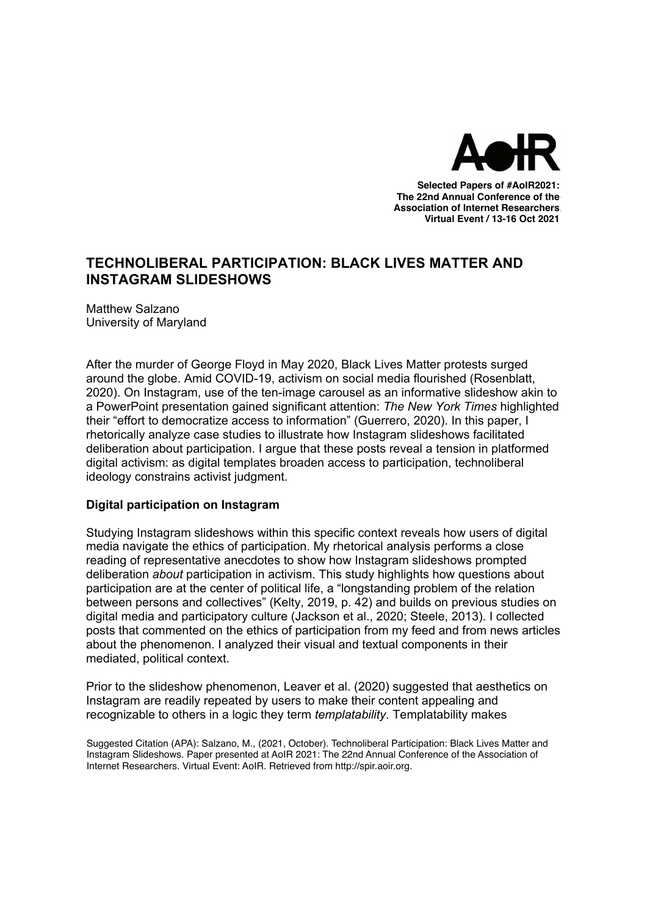

**Selected Papers of #AoIR2020: Selected Papers of #AoIR2021: The 22nd Annual Conference of the The 22nd Annual Conference of the Association of Internet Researchers Association of Internet Researchers Virtual Event / 13-16 Oct 2021** 

# **TECHNOLIBERAL PARTICIPATION: BLACK LIVES MATTER AND INSTAGRAM SLIDESHOWS**

Matthew Salzano University of Maryland

After the murder of George Floyd in May 2020, Black Lives Matter protests surged around the globe. Amid COVID-19, activism on social media flourished (Rosenblatt, 2020). On Instagram, use of the ten-image carousel as an informative slideshow akin to a PowerPoint presentation gained significant attention: *The New York Times* highlighted their "effort to democratize access to information" (Guerrero, 2020). In this paper, I rhetorically analyze case studies to illustrate how Instagram slideshows facilitated deliberation about participation. I argue that these posts reveal a tension in platformed digital activism: as digital templates broaden access to participation, technoliberal ideology constrains activist judgment.

## **Digital participation on Instagram**

Studying Instagram slideshows within this specific context reveals how users of digital media navigate the ethics of participation. My rhetorical analysis performs a close reading of representative anecdotes to show how Instagram slideshows prompted deliberation *about* participation in activism. This study highlights how questions about participation are at the center of political life, a "longstanding problem of the relation between persons and collectives" (Kelty, 2019, p. 42) and builds on previous studies on digital media and participatory culture (Jackson et al., 2020; Steele, 2013). I collected posts that commented on the ethics of participation from my feed and from news articles about the phenomenon. I analyzed their visual and textual components in their mediated, political context.

Prior to the slideshow phenomenon, Leaver et al. (2020) suggested that aesthetics on Instagram are readily repeated by users to make their content appealing and recognizable to others in a logic they term *templatability*. Templatability makes

Suggested Citation (APA): Salzano, M., (2021, October). Technoliberal Participation: Black Lives Matter and Suggested Citation (APA): Salzano, M., (2021, October). Technoliberal Participation: Black Lives Matter and<br>Instagram Slideshows. Paper presented at AoIR 2021: The 22nd Annual Conference of the Association of Internet Researchers. Virtual Event: AoIR. Retrieved from http://spir.aoir.org.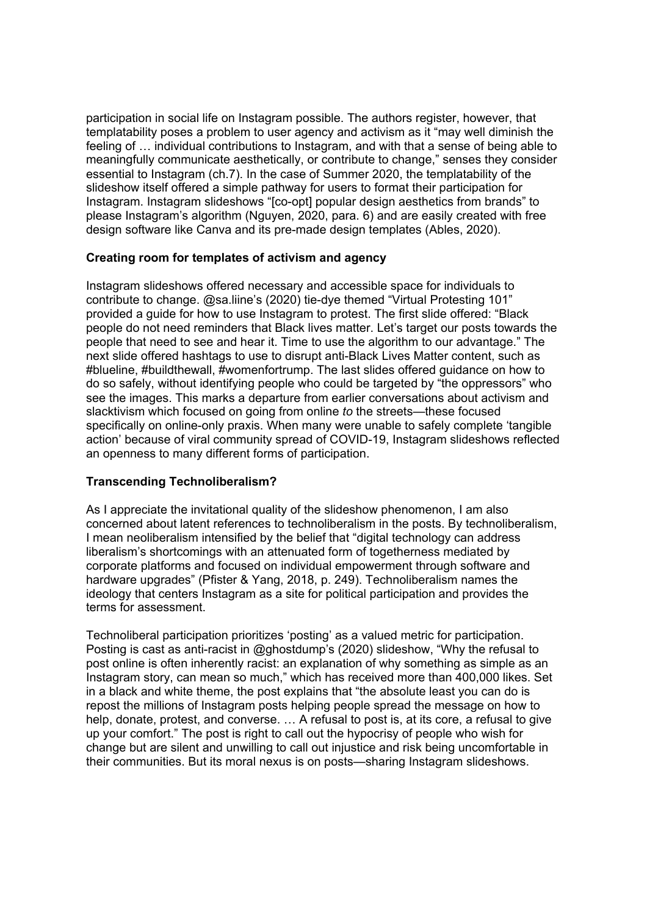participation in social life on Instagram possible. The authors register, however, that templatability poses a problem to user agency and activism as it "may well diminish the feeling of … individual contributions to Instagram, and with that a sense of being able to meaningfully communicate aesthetically, or contribute to change," senses they consider essential to Instagram (ch.7). In the case of Summer 2020, the templatability of the slideshow itself offered a simple pathway for users to format their participation for Instagram. Instagram slideshows "[co-opt] popular design aesthetics from brands" to please Instagram's algorithm (Nguyen, 2020, para. 6) and are easily created with free design software like Canva and its pre-made design templates (Ables, 2020).

## **Creating room for templates of activism and agency**

Instagram slideshows offered necessary and accessible space for individuals to contribute to change. @sa.liine's (2020) tie-dye themed "Virtual Protesting 101" provided a guide for how to use Instagram to protest. The first slide offered: "Black people do not need reminders that Black lives matter. Let's target our posts towards the people that need to see and hear it. Time to use the algorithm to our advantage." The next slide offered hashtags to use to disrupt anti-Black Lives Matter content, such as #blueline, #buildthewall, #womenfortrump. The last slides offered guidance on how to do so safely, without identifying people who could be targeted by "the oppressors" who see the images. This marks a departure from earlier conversations about activism and slacktivism which focused on going from online *to* the streets—these focused specifically on online-only praxis. When many were unable to safely complete 'tangible action' because of viral community spread of COVID-19, Instagram slideshows reflected an openness to many different forms of participation.

#### **Transcending Technoliberalism?**

As I appreciate the invitational quality of the slideshow phenomenon, I am also concerned about latent references to technoliberalism in the posts. By technoliberalism, I mean neoliberalism intensified by the belief that "digital technology can address liberalism's shortcomings with an attenuated form of togetherness mediated by corporate platforms and focused on individual empowerment through software and hardware upgrades" (Pfister & Yang, 2018, p. 249). Technoliberalism names the ideology that centers Instagram as a site for political participation and provides the terms for assessment.

Technoliberal participation prioritizes 'posting' as a valued metric for participation. Posting is cast as anti-racist in @ghostdump's (2020) slideshow, "Why the refusal to post online is often inherently racist: an explanation of why something as simple as an Instagram story, can mean so much," which has received more than 400,000 likes. Set in a black and white theme, the post explains that "the absolute least you can do is repost the millions of Instagram posts helping people spread the message on how to help, donate, protest, and converse. … A refusal to post is, at its core, a refusal to give up your comfort." The post is right to call out the hypocrisy of people who wish for change but are silent and unwilling to call out injustice and risk being uncomfortable in their communities. But its moral nexus is on posts—sharing Instagram slideshows.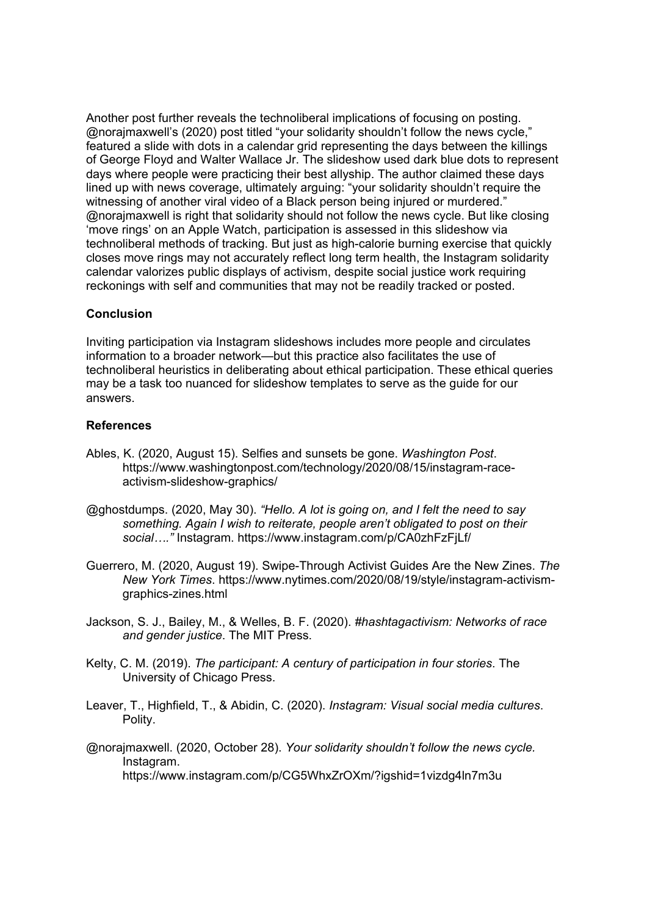Another post further reveals the technoliberal implications of focusing on posting. @norajmaxwell's (2020) post titled "your solidarity shouldn't follow the news cycle," featured a slide with dots in a calendar grid representing the days between the killings of George Floyd and Walter Wallace Jr. The slideshow used dark blue dots to represent days where people were practicing their best allyship. The author claimed these days lined up with news coverage, ultimately arguing: "your solidarity shouldn't require the witnessing of another viral video of a Black person being injured or murdered." @norajmaxwell is right that solidarity should not follow the news cycle. But like closing 'move rings' on an Apple Watch, participation is assessed in this slideshow via technoliberal methods of tracking. But just as high-calorie burning exercise that quickly closes move rings may not accurately reflect long term health, the Instagram solidarity calendar valorizes public displays of activism, despite social justice work requiring reckonings with self and communities that may not be readily tracked or posted.

## **Conclusion**

Inviting participation via Instagram slideshows includes more people and circulates information to a broader network—but this practice also facilitates the use of technoliberal heuristics in deliberating about ethical participation. These ethical queries may be a task too nuanced for slideshow templates to serve as the guide for our answers.

### **References**

- Ables, K. (2020, August 15). Selfies and sunsets be gone. *Washington Post*. https://www.washingtonpost.com/technology/2020/08/15/instagram-raceactivism-slideshow-graphics/
- @ghostdumps. (2020, May 30). *"Hello. A lot is going on, and I felt the need to say something. Again I wish to reiterate, people aren't obligated to post on their social…."* Instagram. https://www.instagram.com/p/CA0zhFzFjLf/
- Guerrero, M. (2020, August 19). Swipe-Through Activist Guides Are the New Zines. *The New York Times*. https://www.nytimes.com/2020/08/19/style/instagram-activismgraphics-zines.html
- Jackson, S. J., Bailey, M., & Welles, B. F. (2020). *#hashtagactivism: Networks of race and gender justice*. The MIT Press.
- Kelty, C. M. (2019). *The participant: A century of participation in four stories*. The University of Chicago Press.
- Leaver, T., Highfield, T., & Abidin, C. (2020). *Instagram: Visual social media cultures*. Polity.
- @norajmaxwell. (2020, October 28). *Your solidarity shouldn't follow the news cycle.* Instagram. https://www.instagram.com/p/CG5WhxZrOXm/?igshid=1vizdg4ln7m3u